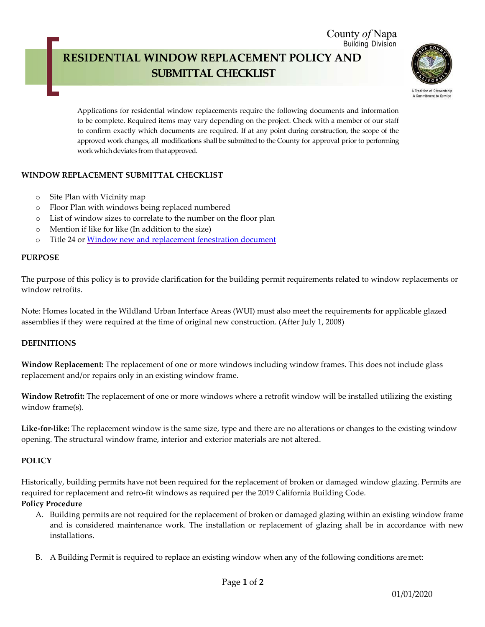#### County *of* Napa Building Division

# **RESIDENTIAL WINDOW REPLACEMENT POLICY AND SUBMITTAL CHECKLIST**



A Tradition of Sta A Commitment to Service

Applications for residential window replacements require the following documents and information to be complete. Required items may vary depending on the project. Check with a member of our staff to confirm exactly which documents are required. If at any point during construction, the scope of the approved work changes, all modifications shall be submitted to the County for approval prior to performing work which deviates from that approved.

## **WINDOW REPLACEMENT SUBMITTAL CHECKLIST**

- o Site Plan with Vicinity map
- o Floor Plan with windows being replaced numbered
- o List of window sizes to correlate to the number on the floor plan
- o Mention if like for like (In addition to the size)
- o Title 24 or [Window new and replacement fenestration](https://www.countyofnapa.org/DocumentCenter/View/7684/Windows-New-or-Replacement-Fenestration-Document-PDF) document

#### **PURPOSE**

The purpose of this policy is to provide clarification for the building permit requirements related to window replacements or window retrofits.

Note: Homes located in the Wildland Urban Interface Areas (WUI) must also meet the requirements for applicable glazed assemblies if they were required at the time of original new construction. (After July 1, 2008)

### **DEFINITIONS**

**Window Replacement:** The replacement of one or more windows including window frames. This does not include glass replacement and/or repairs only in an existing window frame.

**Window Retrofit:** The replacement of one or more windows where a retrofit window will be installed utilizing the existing window frame(s).

**Like-for-like:** The replacement window is the same size, type and there are no alterations or changes to the existing window opening. The structural window frame, interior and exterior materials are not altered.

### **POLICY**

Historically, building permits have not been required for the replacement of broken or damaged window glazing. Permits are required for replacement and retro-fit windows as required per the 2019 California Building Code.

### **Policy Procedure**

- A. Building permits are not required for the replacement of broken or damaged glazing within an existing window frame and is considered maintenance work. The installation or replacement of glazing shall be in accordance with new installations.
- B. A Building Permit is required to replace an existing window when any of the following conditions aremet: